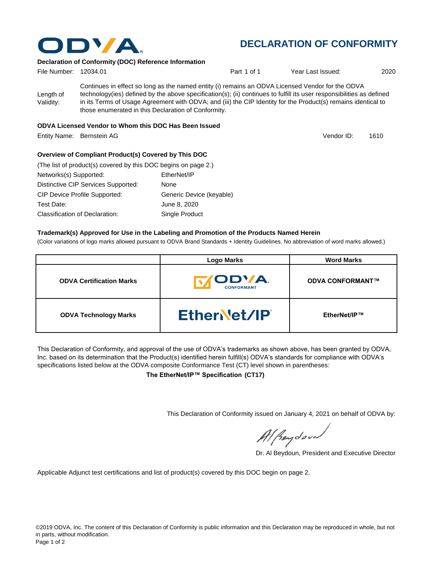

## **DECLARATION OF CONFORMITY**

#### **Declaration of Conformity (DOC) Reference Information**

| File Number: 12034.01  |                                                                                                                                                                                                                                                                                                                                                                                                   | Part 1 of 1 | Year Last Issued: | 2020 |
|------------------------|---------------------------------------------------------------------------------------------------------------------------------------------------------------------------------------------------------------------------------------------------------------------------------------------------------------------------------------------------------------------------------------------------|-------------|-------------------|------|
| Length of<br>Validity: | Continues in effect so long as the named entity (i) remains an ODVA Licensed Vendor for the ODVA<br>technology(ies) defined by the above specification(s); (ii) continues to fulfill its user responsibilities as defined<br>in its Terms of Usage Agreement with ODVA; and (iii) the CIP Identity for the Product(s) remains identical to<br>those enumerated in this Declaration of Conformity. |             |                   |      |
|                        | ODVA Licensed Vendor to Whom this DOC Has Been Issued                                                                                                                                                                                                                                                                                                                                             |             |                   |      |

Entity Name: Bernstein AG 1610 and the state of the state of the state of the State of Testa and Testa and Testa and Testa and Testa and Testa and Testa and Testa and Testa and Testa and Testa and Testa and Testa and Testa

Vendor ID:

#### **Overview of Compliant Product(s) Covered by This DOC**

| (The list of product(s) covered by this DOC begins on page 2.) |                          |  |  |  |
|----------------------------------------------------------------|--------------------------|--|--|--|
| Networks(s) Supported:                                         | EtherNet/IP              |  |  |  |
| Distinctive CIP Services Supported:                            | None                     |  |  |  |
| <b>CIP Device Profile Supported:</b>                           | Generic Device (keyable) |  |  |  |
| Test Date:                                                     | June 8, 2020             |  |  |  |
| Classification of Declaration:                                 | Single Product           |  |  |  |

#### **Trademark(s) Approved for Use in the Labeling and Promotion of the Products Named Herein**

(Color variations of logo marks allowed pursuant to ODVA Brand Standards + Identity Guidelines. No abbreviation of word marks allowed.)

|                                 | <b>Logo Marks</b>                  | <b>Word Marks</b>       |
|---------------------------------|------------------------------------|-------------------------|
| <b>ODVA Certification Marks</b> | <b>IODVA.</b><br><b>CONFORMANT</b> | <b>ODVA CONFORMANT™</b> |
| <b>ODVA Technology Marks</b>    | EtherNet/IP                        | EtherNet/IP™            |

This Declaration of Conformity, and approval of the use of ODVA's trademarks as shown above, has been granted by ODVA, Inc. based on its determination that the Product(s) identified herein fulfill(s) ODVA's standards for compliance with ODVA's specifications listed below at the ODVA composite Conformance Test (CT) level shown in parentheses:

**The EtherNet/IP™ Specification (CT17)**

This Declaration of Conformity issued on January 4, 2021 on behalf of ODVA by:

Al Beydoor

Dr. Al Beydoun, President and Executive Director

Applicable Adjunct test certifications and list of product(s) covered by this DOC begin on page 2.